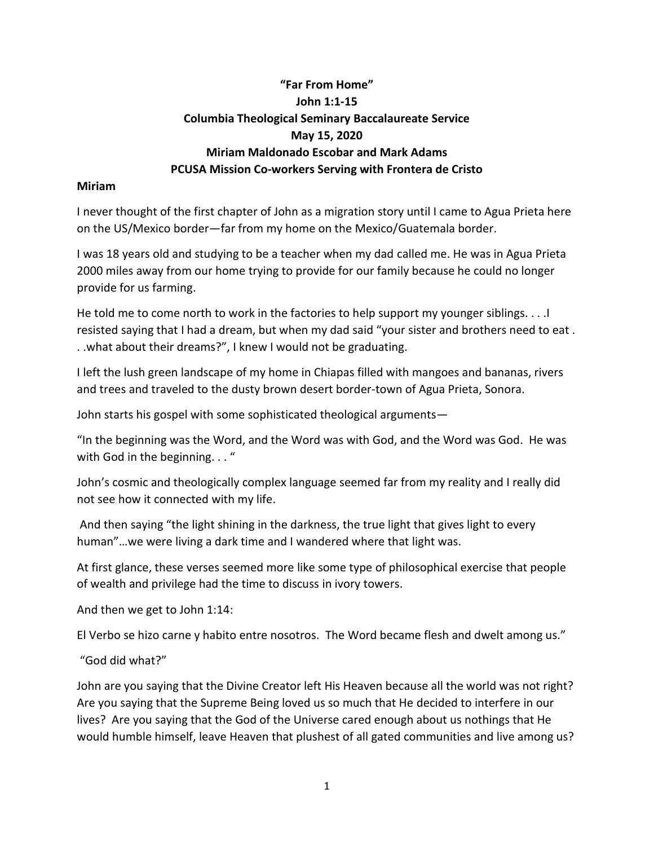# **"Far From Home" John 1:1-15 Columbia Theological Seminary Baccalaureate Service May 15, 2020 Miriam Maldonado Escobar and Mark Adams PCUSA Mission Co-workers Serving with Frontera de Cristo**

#### **Miriam**

I never thought of the first chapter of John as a migration story until I came to Agua Prieta here on the US/Mexico border—far from my home on the Mexico/Guatemala border.

I was 18 years old and studying to be a teacher when my dad called me. He was in Agua Prieta 2000 miles away from our home trying to provide for our family because he could no longer provide for us farming.

He told me to come north to work in the factories to help support my younger siblings. . . . I resisted saying that I had a dream, but when my dad said "your sister and brothers need to eat . . .what about their dreams?", I knew I would not be graduating.

I left the lush green landscape of my home in Chiapas filled with mangoes and bananas, rivers and trees and traveled to the dusty brown desert border-town of Agua Prieta, Sonora.

John starts his gospel with some sophisticated theological arguments—

"In the beginning was the Word, and the Word was with God, and the Word was God. He was with God in the beginning..."

John's cosmic and theologically complex language seemed far from my reality and I really did not see how it connected with my life.

And then saying "the light shining in the darkness, the true light that gives light to every human"…we were living a dark time and I wandered where that light was.

At first glance, these verses seemed more like some type of philosophical exercise that people of wealth and privilege had the time to discuss in ivory towers.

And then we get to John 1:14:

El Verbo se hizo carne y habito entre nosotros. The Word became flesh and dwelt among us."

"God did what?"

John are you saying that the Divine Creator left His Heaven because all the world was not right? Are you saying that the Supreme Being loved us so much that He decided to interfere in our lives? Are you saying that the God of the Universe cared enough about us nothings that He would humble himself, leave Heaven that plushest of all gated communities and live among us?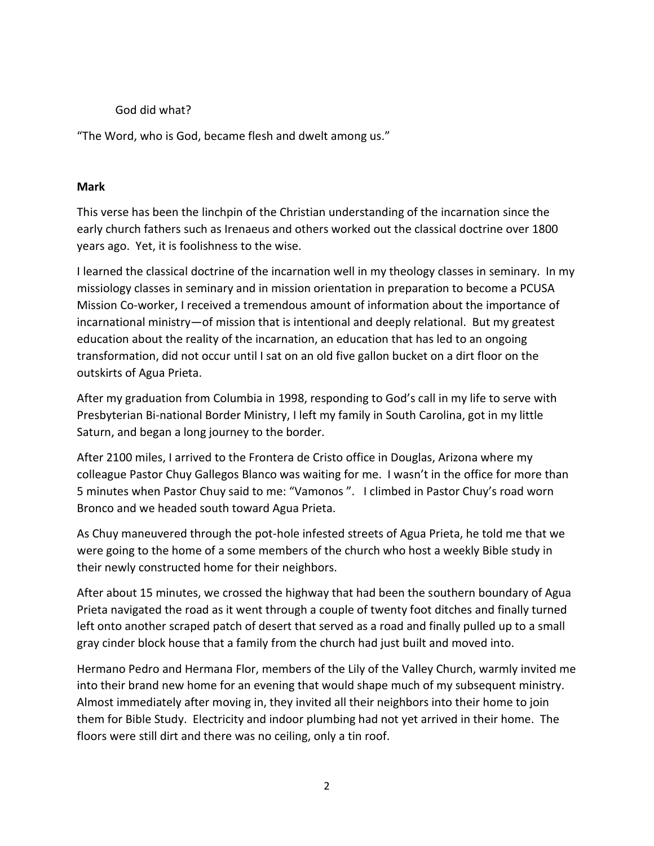### God did what?

"The Word, who is God, became flesh and dwelt among us."

### **Mark**

This verse has been the linchpin of the Christian understanding of the incarnation since the early church fathers such as Irenaeus and others worked out the classical doctrine over 1800 years ago. Yet, it is foolishness to the wise.

I learned the classical doctrine of the incarnation well in my theology classes in seminary. In my missiology classes in seminary and in mission orientation in preparation to become a PCUSA Mission Co-worker, I received a tremendous amount of information about the importance of incarnational ministry—of mission that is intentional and deeply relational. But my greatest education about the reality of the incarnation, an education that has led to an ongoing transformation, did not occur until I sat on an old five gallon bucket on a dirt floor on the outskirts of Agua Prieta.

After my graduation from Columbia in 1998, responding to God's call in my life to serve with Presbyterian Bi-national Border Ministry, I left my family in South Carolina, got in my little Saturn, and began a long journey to the border.

After 2100 miles, I arrived to the Frontera de Cristo office in Douglas, Arizona where my colleague Pastor Chuy Gallegos Blanco was waiting for me. I wasn't in the office for more than 5 minutes when Pastor Chuy said to me: "Vamonos ". I climbed in Pastor Chuy's road worn Bronco and we headed south toward Agua Prieta.

As Chuy maneuvered through the pot-hole infested streets of Agua Prieta, he told me that we were going to the home of a some members of the church who host a weekly Bible study in their newly constructed home for their neighbors.

After about 15 minutes, we crossed the highway that had been the southern boundary of Agua Prieta navigated the road as it went through a couple of twenty foot ditches and finally turned left onto another scraped patch of desert that served as a road and finally pulled up to a small gray cinder block house that a family from the church had just built and moved into.

Hermano Pedro and Hermana Flor, members of the Lily of the Valley Church, warmly invited me into their brand new home for an evening that would shape much of my subsequent ministry. Almost immediately after moving in, they invited all their neighbors into their home to join them for Bible Study. Electricity and indoor plumbing had not yet arrived in their home. The floors were still dirt and there was no ceiling, only a tin roof.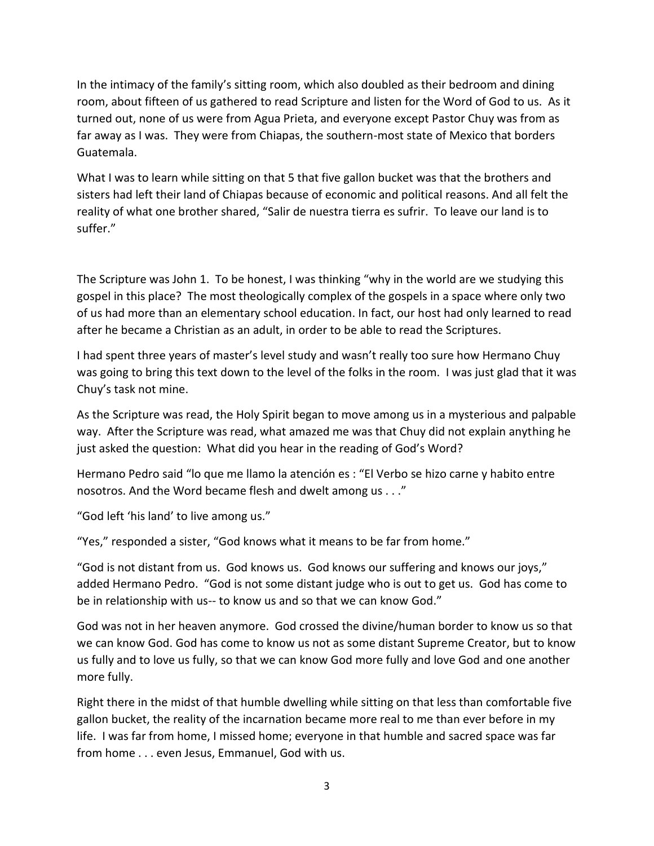In the intimacy of the family's sitting room, which also doubled as their bedroom and dining room, about fifteen of us gathered to read Scripture and listen for the Word of God to us. As it turned out, none of us were from Agua Prieta, and everyone except Pastor Chuy was from as far away as I was. They were from Chiapas, the southern-most state of Mexico that borders Guatemala.

What I was to learn while sitting on that 5 that five gallon bucket was that the brothers and sisters had left their land of Chiapas because of economic and political reasons. And all felt the reality of what one brother shared, "Salir de nuestra tierra es sufrir. To leave our land is to suffer."

The Scripture was John 1. To be honest, I was thinking "why in the world are we studying this gospel in this place? The most theologically complex of the gospels in a space where only two of us had more than an elementary school education. In fact, our host had only learned to read after he became a Christian as an adult, in order to be able to read the Scriptures.

I had spent three years of master's level study and wasn't really too sure how Hermano Chuy was going to bring this text down to the level of the folks in the room. I was just glad that it was Chuy's task not mine.

As the Scripture was read, the Holy Spirit began to move among us in a mysterious and palpable way. After the Scripture was read, what amazed me was that Chuy did not explain anything he just asked the question: What did you hear in the reading of God's Word?

Hermano Pedro said "lo que me llamo la atención es : "El Verbo se hizo carne y habito entre nosotros. And the Word became flesh and dwelt among us . . ."

"God left 'his land' to live among us."

"Yes," responded a sister, "God knows what it means to be far from home."

"God is not distant from us. God knows us. God knows our suffering and knows our joys," added Hermano Pedro. "God is not some distant judge who is out to get us. God has come to be in relationship with us-- to know us and so that we can know God."

God was not in her heaven anymore. God crossed the divine/human border to know us so that we can know God. God has come to know us not as some distant Supreme Creator, but to know us fully and to love us fully, so that we can know God more fully and love God and one another more fully.

Right there in the midst of that humble dwelling while sitting on that less than comfortable five gallon bucket, the reality of the incarnation became more real to me than ever before in my life. I was far from home, I missed home; everyone in that humble and sacred space was far from home . . . even Jesus, Emmanuel, God with us.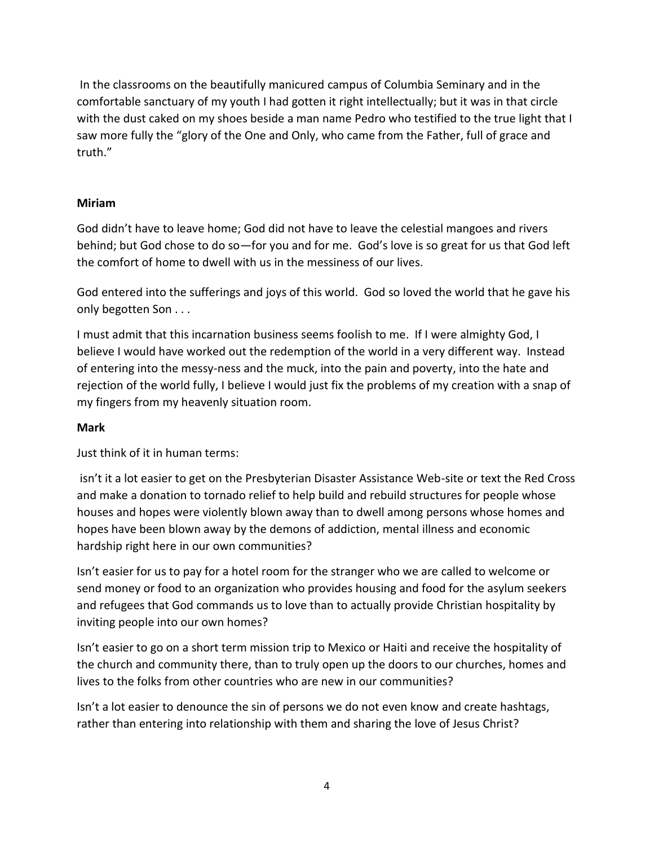In the classrooms on the beautifully manicured campus of Columbia Seminary and in the comfortable sanctuary of my youth I had gotten it right intellectually; but it was in that circle with the dust caked on my shoes beside a man name Pedro who testified to the true light that I saw more fully the "glory of the One and Only, who came from the Father, full of grace and truth."

## **Miriam**

God didn't have to leave home; God did not have to leave the celestial mangoes and rivers behind; but God chose to do so—for you and for me. God's love is so great for us that God left the comfort of home to dwell with us in the messiness of our lives.

God entered into the sufferings and joys of this world. God so loved the world that he gave his only begotten Son . . .

I must admit that this incarnation business seems foolish to me. If I were almighty God, I believe I would have worked out the redemption of the world in a very different way. Instead of entering into the messy-ness and the muck, into the pain and poverty, into the hate and rejection of the world fully, I believe I would just fix the problems of my creation with a snap of my fingers from my heavenly situation room.

#### **Mark**

Just think of it in human terms:

isn't it a lot easier to get on the Presbyterian Disaster Assistance Web-site or text the Red Cross and make a donation to tornado relief to help build and rebuild structures for people whose houses and hopes were violently blown away than to dwell among persons whose homes and hopes have been blown away by the demons of addiction, mental illness and economic hardship right here in our own communities?

Isn't easier for us to pay for a hotel room for the stranger who we are called to welcome or send money or food to an organization who provides housing and food for the asylum seekers and refugees that God commands us to love than to actually provide Christian hospitality by inviting people into our own homes?

Isn't easier to go on a short term mission trip to Mexico or Haiti and receive the hospitality of the church and community there, than to truly open up the doors to our churches, homes and lives to the folks from other countries who are new in our communities?

Isn't a lot easier to denounce the sin of persons we do not even know and create hashtags, rather than entering into relationship with them and sharing the love of Jesus Christ?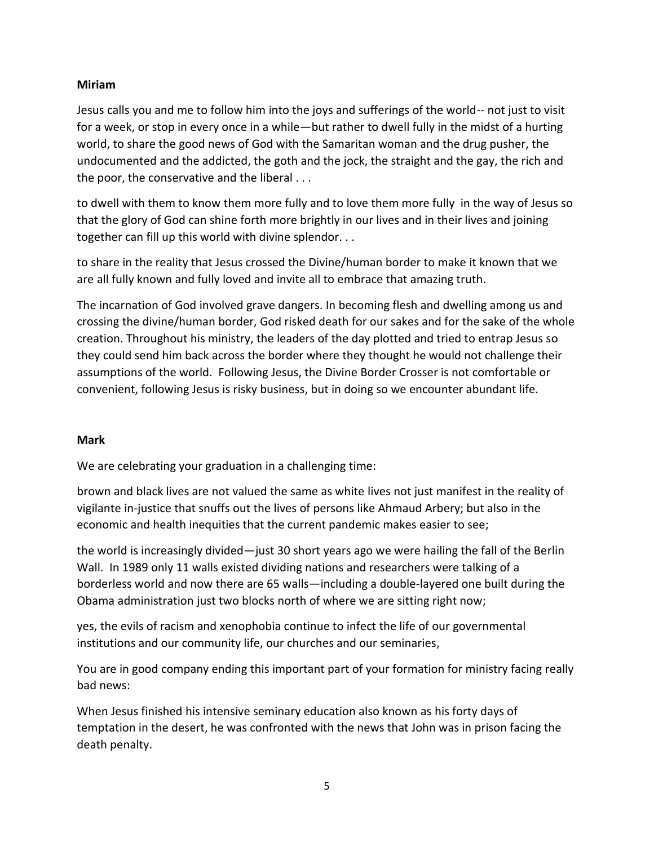## **Miriam**

Jesus calls you and me to follow him into the joys and sufferings of the world-- not just to visit for a week, or stop in every once in a while—but rather to dwell fully in the midst of a hurting world, to share the good news of God with the Samaritan woman and the drug pusher, the undocumented and the addicted, the goth and the jock, the straight and the gay, the rich and the poor, the conservative and the liberal . . .

to dwell with them to know them more fully and to love them more fully in the way of Jesus so that the glory of God can shine forth more brightly in our lives and in their lives and joining together can fill up this world with divine splendor. . .

to share in the reality that Jesus crossed the Divine/human border to make it known that we are all fully known and fully loved and invite all to embrace that amazing truth.

The incarnation of God involved grave dangers. In becoming flesh and dwelling among us and crossing the divine/human border, God risked death for our sakes and for the sake of the whole creation. Throughout his ministry, the leaders of the day plotted and tried to entrap Jesus so they could send him back across the border where they thought he would not challenge their assumptions of the world. Following Jesus, the Divine Border Crosser is not comfortable or convenient, following Jesus is risky business, but in doing so we encounter abundant life.

# **Mark**

We are celebrating your graduation in a challenging time:

brown and black lives are not valued the same as white lives not just manifest in the reality of vigilante in-justice that snuffs out the lives of persons like Ahmaud Arbery; but also in the economic and health inequities that the current pandemic makes easier to see;

the world is increasingly divided—just 30 short years ago we were hailing the fall of the Berlin Wall. In 1989 only 11 walls existed dividing nations and researchers were talking of a borderless world and now there are 65 walls—including a double-layered one built during the Obama administration just two blocks north of where we are sitting right now;

yes, the evils of racism and xenophobia continue to infect the life of our governmental institutions and our community life, our churches and our seminaries,

You are in good company ending this important part of your formation for ministry facing really bad news:

When Jesus finished his intensive seminary education also known as his forty days of temptation in the desert, he was confronted with the news that John was in prison facing the death penalty.